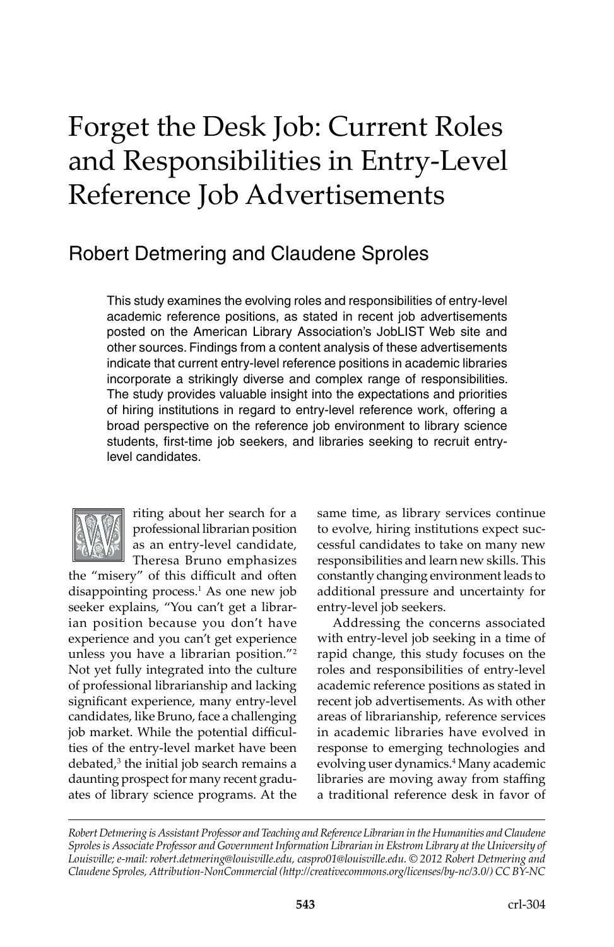# Forget the Desk Job: Current Roles and Responsibilities in Entry-Level Reference Job Advertisements

## Robert Detmering and Claudene Sproles

This study examines the evolving roles and responsibilities of entry-level academic reference positions, as stated in recent job advertisements posted on the American Library Association's JobLIST Web site and other sources. Findings from a content analysis of these advertisements indicate that current entry-level reference positions in academic libraries incorporate a strikingly diverse and complex range of responsibilities. The study provides valuable insight into the expectations and priorities of hiring institutions in regard to entry-level reference work, offering a broad perspective on the reference job environment to library science students, first-time job seekers, and libraries seeking to recruit entrylevel candidates.



riting about her search for a professional librarian position as an entry-level candidate, Theresa Bruno emphasizes

the "misery" of this difficult and often disappointing process.<sup>1</sup> As one new job seeker explains, "You can't get a librarian position because you don't have experience and you can't get experience unless you have a librarian position."2 Not yet fully integrated into the culture of professional librarianship and lacking significant experience, many entry-level candidates, like Bruno, face a challenging job market. While the potential difficulties of the entry-level market have been debated,<sup>3</sup> the initial job search remains a daunting prospect for many recent graduates of library science programs. At the

same time, as library services continue to evolve, hiring institutions expect successful candidates to take on many new responsibilities and learn new skills. This constantly changing environment leads to additional pressure and uncertainty for entry-level job seekers.

Addressing the concerns associated with entry-level job seeking in a time of rapid change, this study focuses on the roles and responsibilities of entry-level academic reference positions as stated in recent job advertisements. As with other areas of librarianship, reference services in academic libraries have evolved in response to emerging technologies and evolving user dynamics.4 Many academic libraries are moving away from staffing a traditional reference desk in favor of

*Robert Detmering is Assistant Professor and Teaching and Reference Librarian in the Humanities and Claudene Sproles is Associate Professor and Government Information Librarian in Ekstrom Library at the University of Louisville; e-mail: robert.detmering@louisville.edu, caspro01@louisville.edu. © 2012 Robert Detmering and Claudene Sproles, Attribution-NonCommercial (http://creativecommons.org/licenses/by-nc/3.0/) CC BY-NC*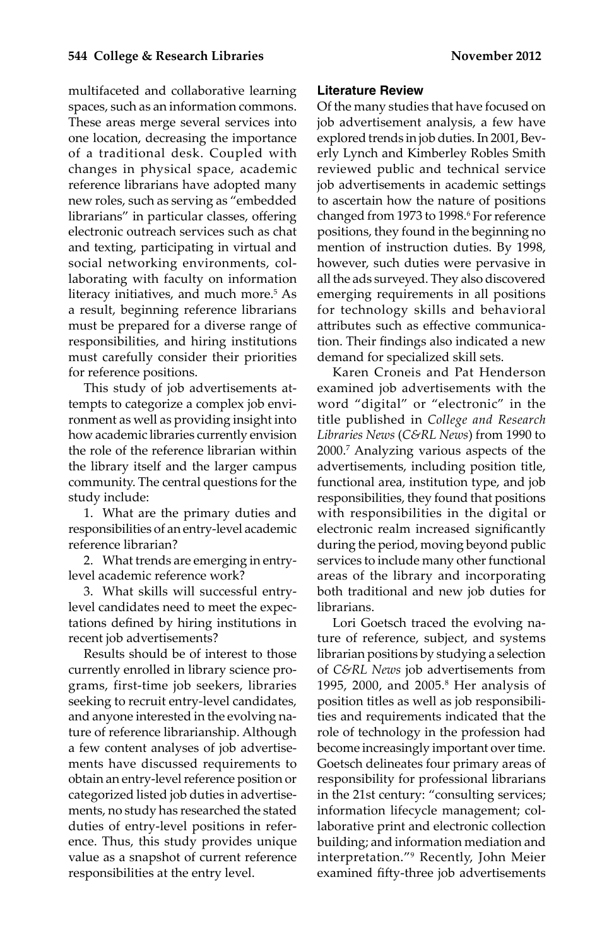multifaceted and collaborative learning spaces, such as an information commons. These areas merge several services into one location, decreasing the importance of a traditional desk. Coupled with changes in physical space, academic reference librarians have adopted many new roles, such as serving as "embedded librarians" in particular classes, offering electronic outreach services such as chat and texting, participating in virtual and social networking environments, collaborating with faculty on information literacy initiatives, and much more.<sup>5</sup> As a result, beginning reference librarians must be prepared for a diverse range of responsibilities, and hiring institutions must carefully consider their priorities for reference positions.

This study of job advertisements attempts to categorize a complex job environment as well as providing insight into how academic libraries currently envision the role of the reference librarian within the library itself and the larger campus community. The central questions for the study include:

1. What are the primary duties and responsibilities of an entry-level academic reference librarian?

2. What trends are emerging in entrylevel academic reference work?

3. What skills will successful entrylevel candidates need to meet the expectations defined by hiring institutions in recent job advertisements?

Results should be of interest to those currently enrolled in library science programs, first-time job seekers, libraries seeking to recruit entry-level candidates, and anyone interested in the evolving nature of reference librarianship. Although a few content analyses of job advertisements have discussed requirements to obtain an entry-level reference position or categorized listed job duties in advertisements, no study has researched the stated duties of entry-level positions in reference. Thus, this study provides unique value as a snapshot of current reference responsibilities at the entry level.

#### **Literature Review**

Of the many studies that have focused on job advertisement analysis, a few have explored trends in job duties. In 2001, Beverly Lynch and Kimberley Robles Smith reviewed public and technical service job advertisements in academic settings to ascertain how the nature of positions changed from 1973 to 1998.<sup>6</sup> For reference positions, they found in the beginning no mention of instruction duties. By 1998, however, such duties were pervasive in all the ads surveyed. They also discovered emerging requirements in all positions for technology skills and behavioral attributes such as effective communication. Their findings also indicated a new demand for specialized skill sets.

Karen Croneis and Pat Henderson examined job advertisements with the word "digital" or "electronic" in the title published in *College and Research Libraries News* (*C&RL News*) from 1990 to 2000.7 Analyzing various aspects of the advertisements, including position title, functional area, institution type, and job responsibilities, they found that positions with responsibilities in the digital or electronic realm increased significantly during the period, moving beyond public services to include many other functional areas of the library and incorporating both traditional and new job duties for librarians.

Lori Goetsch traced the evolving nature of reference, subject, and systems librarian positions by studying a selection of *C&RL News* job advertisements from 1995, 2000, and 2005.8 Her analysis of position titles as well as job responsibilities and requirements indicated that the role of technology in the profession had become increasingly important over time. Goetsch delineates four primary areas of responsibility for professional librarians in the 21st century: "consulting services; information lifecycle management; collaborative print and electronic collection building; and information mediation and interpretation."9 Recently, John Meier examined fifty-three job advertisements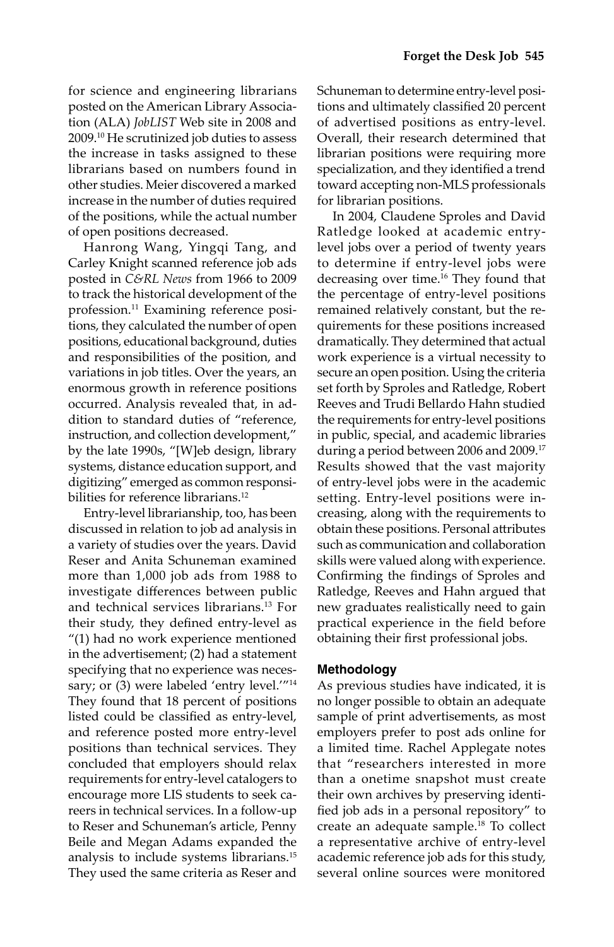for science and engineering librarians posted on the American Library Association (ALA) *JobLIST* Web site in 2008 and 2009.10 He scrutinized job duties to assess the increase in tasks assigned to these librarians based on numbers found in other studies. Meier discovered a marked increase in the number of duties required of the positions, while the actual number of open positions decreased.

Hanrong Wang, Yingqi Tang, and Carley Knight scanned reference job ads posted in *C&RL News* from 1966 to 2009 to track the historical development of the profession.<sup>11</sup> Examining reference positions, they calculated the number of open positions, educational background, duties and responsibilities of the position, and variations in job titles. Over the years, an enormous growth in reference positions occurred. Analysis revealed that, in addition to standard duties of "reference, instruction, and collection development," by the late 1990s, "[W]eb design, library systems, distance education support, and digitizing" emerged as common responsibilities for reference librarians.<sup>12</sup>

Entry-level librarianship, too, has been discussed in relation to job ad analysis in a variety of studies over the years. David Reser and Anita Schuneman examined more than 1,000 job ads from 1988 to investigate differences between public and technical services librarians.13 For their study, they defined entry-level as "(1) had no work experience mentioned in the advertisement; (2) had a statement specifying that no experience was necessary; or (3) were labeled 'entry level."<sup>14</sup> They found that 18 percent of positions listed could be classified as entry-level, and reference posted more entry-level positions than technical services. They concluded that employers should relax requirements for entry-level catalogers to encourage more LIS students to seek careers in technical services. In a follow-up to Reser and Schuneman's article, Penny Beile and Megan Adams expanded the analysis to include systems librarians.15 They used the same criteria as Reser and

Schuneman to determine entry-level positions and ultimately classified 20 percent of advertised positions as entry-level. Overall, their research determined that librarian positions were requiring more specialization, and they identified a trend toward accepting non-MLS professionals for librarian positions.

In 2004, Claudene Sproles and David Ratledge looked at academic entrylevel jobs over a period of twenty years to determine if entry-level jobs were decreasing over time.16 They found that the percentage of entry-level positions remained relatively constant, but the requirements for these positions increased dramatically. They determined that actual work experience is a virtual necessity to secure an open position. Using the criteria set forth by Sproles and Ratledge, Robert Reeves and Trudi Bellardo Hahn studied the requirements for entry-level positions in public, special, and academic libraries during a period between 2006 and 2009.<sup>17</sup> Results showed that the vast majority of entry-level jobs were in the academic setting. Entry-level positions were increasing, along with the requirements to obtain these positions. Personal attributes such as communication and collaboration skills were valued along with experience. Confirming the findings of Sproles and Ratledge, Reeves and Hahn argued that new graduates realistically need to gain practical experience in the field before obtaining their first professional jobs.

#### **Methodology**

As previous studies have indicated, it is no longer possible to obtain an adequate sample of print advertisements, as most employers prefer to post ads online for a limited time. Rachel Applegate notes that "researchers interested in more than a onetime snapshot must create their own archives by preserving identified job ads in a personal repository" to create an adequate sample.18 To collect a representative archive of entry-level academic reference job ads for this study, several online sources were monitored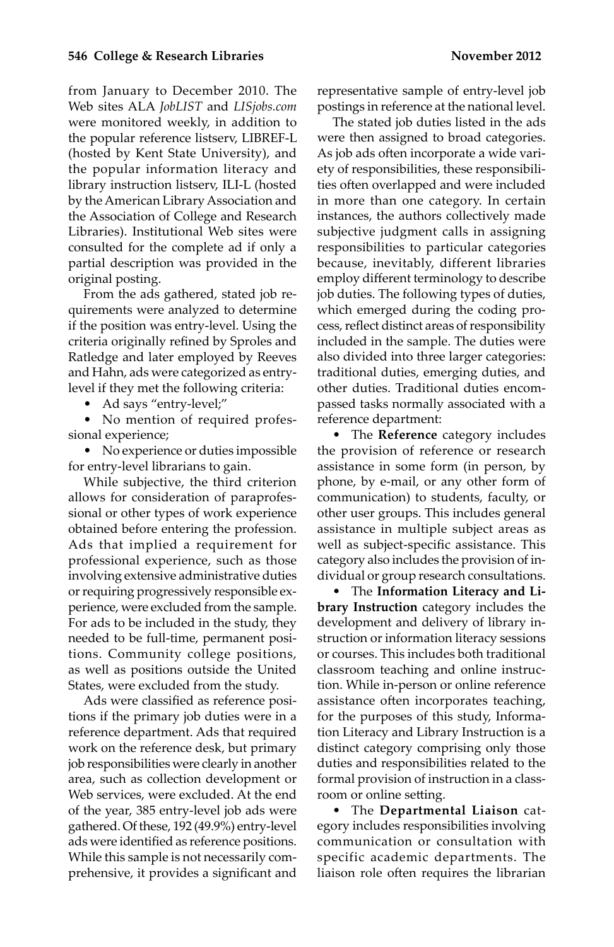from January to December 2010. The Web sites ALA *JobLIST* and *LISjobs.com* were monitored weekly, in addition to the popular reference listserv, LIBREF-L (hosted by Kent State University), and the popular information literacy and library instruction listserv, ILI-L (hosted by the American Library Association and the Association of College and Research Libraries). Institutional Web sites were consulted for the complete ad if only a partial description was provided in the original posting.

From the ads gathered, stated job requirements were analyzed to determine if the position was entry-level. Using the criteria originally refined by Sproles and Ratledge and later employed by Reeves and Hahn, ads were categorized as entrylevel if they met the following criteria:

• Ad says "entry-level;"

• No mention of required professional experience;

• No experience or duties impossible for entry-level librarians to gain.

While subjective, the third criterion allows for consideration of paraprofessional or other types of work experience obtained before entering the profession. Ads that implied a requirement for professional experience, such as those involving extensive administrative duties or requiring progressively responsible experience, were excluded from the sample. For ads to be included in the study, they needed to be full-time, permanent positions. Community college positions, as well as positions outside the United States, were excluded from the study.

Ads were classified as reference positions if the primary job duties were in a reference department. Ads that required work on the reference desk, but primary job responsibilities were clearly in another area, such as collection development or Web services, were excluded. At the end of the year, 385 entry-level job ads were gathered. Of these, 192 (49.9%) entry-level ads were identified as reference positions. While this sample is not necessarily comprehensive, it provides a significant and

representative sample of entry-level job postings in reference at the national level.

The stated job duties listed in the ads were then assigned to broad categories. As job ads often incorporate a wide variety of responsibilities, these responsibilities often overlapped and were included in more than one category. In certain instances, the authors collectively made subjective judgment calls in assigning responsibilities to particular categories because, inevitably, different libraries employ different terminology to describe job duties. The following types of duties, which emerged during the coding process, reflect distinct areas of responsibility included in the sample. The duties were also divided into three larger categories: traditional duties, emerging duties, and other duties. Traditional duties encompassed tasks normally associated with a reference department:

• The **Reference** category includes the provision of reference or research assistance in some form (in person, by phone, by e-mail, or any other form of communication) to students, faculty, or other user groups. This includes general assistance in multiple subject areas as well as subject-specific assistance. This category also includes the provision of individual or group research consultations.

• The **Information Literacy and Library Instruction** category includes the development and delivery of library instruction or information literacy sessions or courses. This includes both traditional classroom teaching and online instruction. While in-person or online reference assistance often incorporates teaching, for the purposes of this study, Information Literacy and Library Instruction is a distinct category comprising only those duties and responsibilities related to the formal provision of instruction in a classroom or online setting.

• The **Departmental Liaison** category includes responsibilities involving communication or consultation with specific academic departments. The liaison role often requires the librarian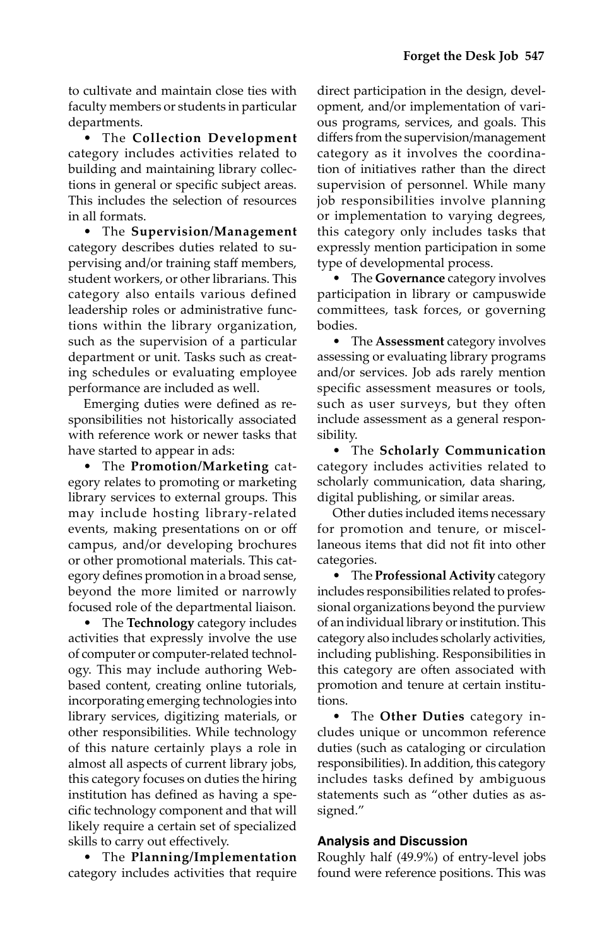to cultivate and maintain close ties with faculty members or students in particular departments.

• The **Collection Development** category includes activities related to building and maintaining library collections in general or specific subject areas. This includes the selection of resources in all formats.

• The **Supervision/Management** category describes duties related to supervising and/or training staff members, student workers, or other librarians. This category also entails various defined leadership roles or administrative functions within the library organization, such as the supervision of a particular department or unit. Tasks such as creating schedules or evaluating employee performance are included as well.

Emerging duties were defined as responsibilities not historically associated with reference work or newer tasks that have started to appear in ads:

• The **Promotion/Marketing** category relates to promoting or marketing library services to external groups. This may include hosting library-related events, making presentations on or off campus, and/or developing brochures or other promotional materials. This category defines promotion in a broad sense, beyond the more limited or narrowly focused role of the departmental liaison.

• The **Technology** category includes activities that expressly involve the use of computer or computer-related technology. This may include authoring Webbased content, creating online tutorials, incorporating emerging technologies into library services, digitizing materials, or other responsibilities. While technology of this nature certainly plays a role in almost all aspects of current library jobs, this category focuses on duties the hiring institution has defined as having a specific technology component and that will likely require a certain set of specialized skills to carry out effectively.

• The **Planning/Implementation** category includes activities that require direct participation in the design, development, and/or implementation of various programs, services, and goals. This differs from the supervision/management category as it involves the coordination of initiatives rather than the direct supervision of personnel. While many job responsibilities involve planning or implementation to varying degrees, this category only includes tasks that expressly mention participation in some type of developmental process.

• The **Governance** category involves participation in library or campuswide committees, task forces, or governing bodies.

• The **Assessment** category involves assessing or evaluating library programs and/or services. Job ads rarely mention specific assessment measures or tools, such as user surveys, but they often include assessment as a general responsibility.

• The **Scholarly Communication**  category includes activities related to scholarly communication, data sharing, digital publishing, or similar areas.

Other duties included items necessary for promotion and tenure, or miscellaneous items that did not fit into other categories.

• The **Professional Activity** category includes responsibilities related to professional organizations beyond the purview of an individual library or institution. This category also includes scholarly activities, including publishing. Responsibilities in this category are often associated with promotion and tenure at certain institutions.

• The **Other Duties** category includes unique or uncommon reference duties (such as cataloging or circulation responsibilities). In addition, this category includes tasks defined by ambiguous statements such as "other duties as assigned."

### **Analysis and Discussion**

Roughly half (49.9%) of entry-level jobs found were reference positions. This was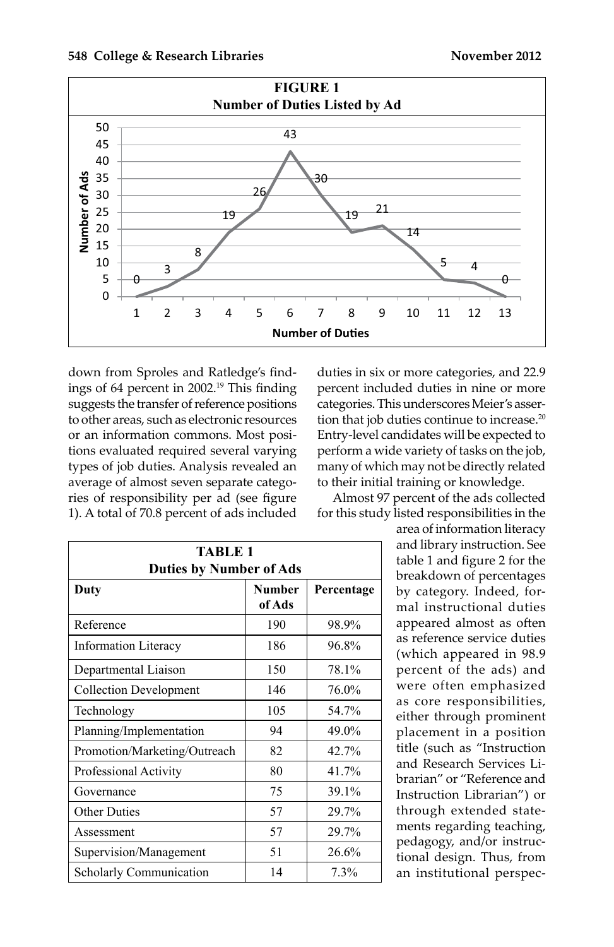

down from Sproles and Ratledge's findings of 64 percent in 2002.19 This finding suggests the transfer of reference positions to other areas, such as electronic resources or an information commons. Most positions evaluated required several varying types of job duties. Analysis revealed an average of almost seven separate categories of responsibility per ad (see figure 1). A total of 70.8 percent of ads included duties in six or more categories, and 22.9 percent included duties in nine or more categories. This underscores Meier's assertion that job duties continue to increase.<sup>20</sup> Entry-level candidates will be expected to perform a wide variety of tasks on the job, many of which may not be directly related to their initial training or knowledge.

Almost 97 percent of the ads collected for this study listed responsibilities in the

| TABLE 1<br><b>Duties by Number of Ads</b> |                         |            |
|-------------------------------------------|-------------------------|------------|
| Duty                                      | <b>Number</b><br>of Ads | Percentage |
| Reference                                 | 190                     | 98.9%      |
| <b>Information Literacy</b>               | 186                     | 96.8%      |
| Departmental Liaison                      | 150                     | 78.1%      |
| Collection Development                    | 146                     | 76.0%      |
| Technology                                | 105                     | 54.7%      |
| Planning/Implementation                   | 94                      | 49.0%      |
| Promotion/Marketing/Outreach              | 82                      | 42.7%      |
| Professional Activity                     | 80                      | 41.7%      |
| Governance                                | 75                      | 39.1%      |
| <b>Other Duties</b>                       | 57                      | 29.7%      |
| Assessment                                | 57                      | 29.7%      |
| Supervision/Management                    | 51                      | 26.6%      |
| <b>Scholarly Communication</b>            | 14                      | 7.3%       |

area of information literacy and library instruction. See table 1 and figure 2 for the breakdown of percentages by category. Indeed, formal instructional duties appeared almost as often as reference service duties (which appeared in 98.9 percent of the ads) and were often emphasized as core responsibilities, either through prominent placement in a position title (such as "Instruction and Research Services Librarian" or "Reference and Instruction Librarian") or through extended statements regarding teaching, pedagogy, and/or instructional design. Thus, from an institutional perspec-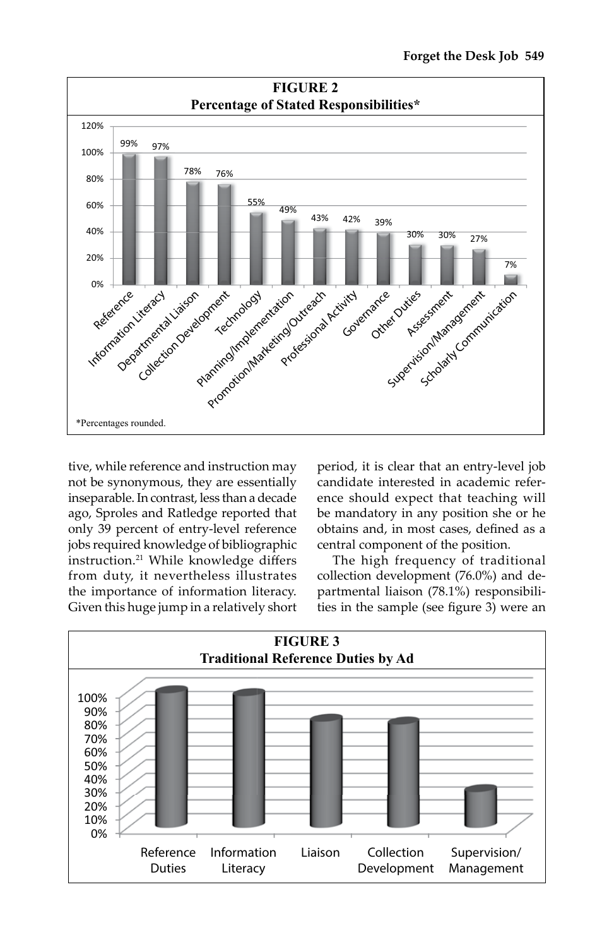

tive, while reference and instruction may not be synonymous, they are essentially inseparable. In contrast, less than a decade ago, Sproles and Ratledge reported that only 39 percent of entry-level reference jobs required knowledge of bibliographic instruction.21 While knowledge differs from duty, it nevertheless illustrates the importance of information literacy. Given this huge jump in a relatively short

period, it is clear that an entry-level job candidate interested in academic reference should expect that teaching will be mandatory in any position she or he obtains and, in most cases, defined as a central component of the position.

The high frequency of traditional collection development (76.0%) and departmental liaison (78.1%) responsibilities in the sample (see figure 3) were an

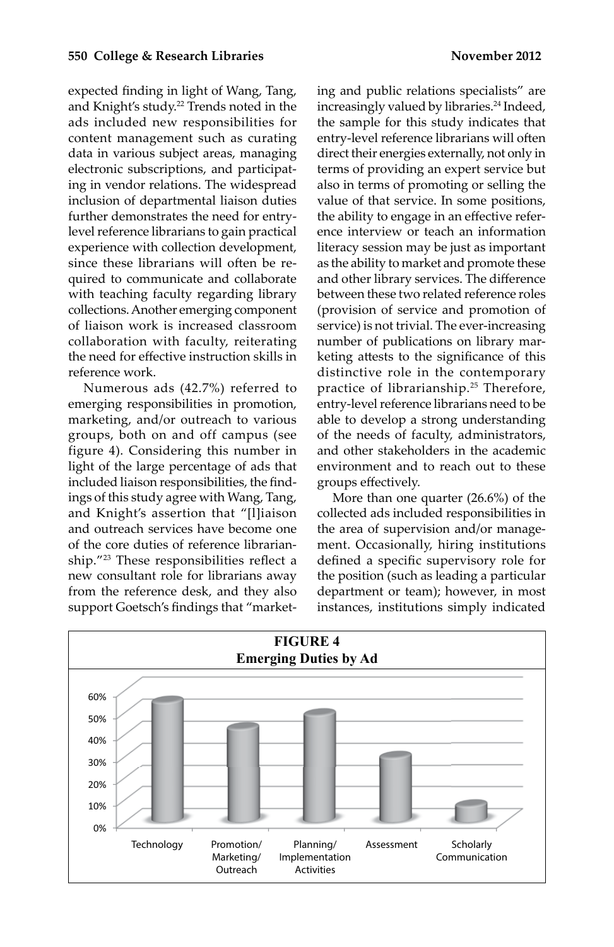expected finding in light of Wang, Tang, and Knight's study.<sup>22</sup> Trends noted in the ads included new responsibilities for content management such as curating data in various subject areas, managing electronic subscriptions, and participating in vendor relations. The widespread inclusion of departmental liaison duties further demonstrates the need for entrylevel reference librarians to gain practical experience with collection development, since these librarians will often be required to communicate and collaborate with teaching faculty regarding library collections. Another emerging component of liaison work is increased classroom collaboration with faculty, reiterating the need for effective instruction skills in reference work.

Numerous ads (42.7%) referred to emerging responsibilities in promotion, marketing, and/or outreach to various groups, both on and off campus (see figure 4). Considering this number in light of the large percentage of ads that included liaison responsibilities, the findings of this study agree with Wang, Tang, and Knight's assertion that "[l]iaison and outreach services have become one of the core duties of reference librarianship."23 These responsibilities reflect a new consultant role for librarians away from the reference desk, and they also support Goetsch's findings that "marketing and public relations specialists" are increasingly valued by libraries.<sup>24</sup> Indeed, the sample for this study indicates that entry-level reference librarians will often direct their energies externally, not only in terms of providing an expert service but also in terms of promoting or selling the value of that service. In some positions, the ability to engage in an effective reference interview or teach an information literacy session may be just as important as the ability to market and promote these and other library services. The difference between these two related reference roles (provision of service and promotion of service) is not trivial. The ever-increasing number of publications on library marketing attests to the significance of this distinctive role in the contemporary practice of librarianship.<sup>25</sup> Therefore, entry-level reference librarians need to be able to develop a strong understanding of the needs of faculty, administrators, and other stakeholders in the academic environment and to reach out to these groups effectively.

More than one quarter (26.6%) of the collected ads included responsibilities in the area of supervision and/or management. Occasionally, hiring institutions defined a specific supervisory role for the position (such as leading a particular department or team); however, in most instances, institutions simply indicated

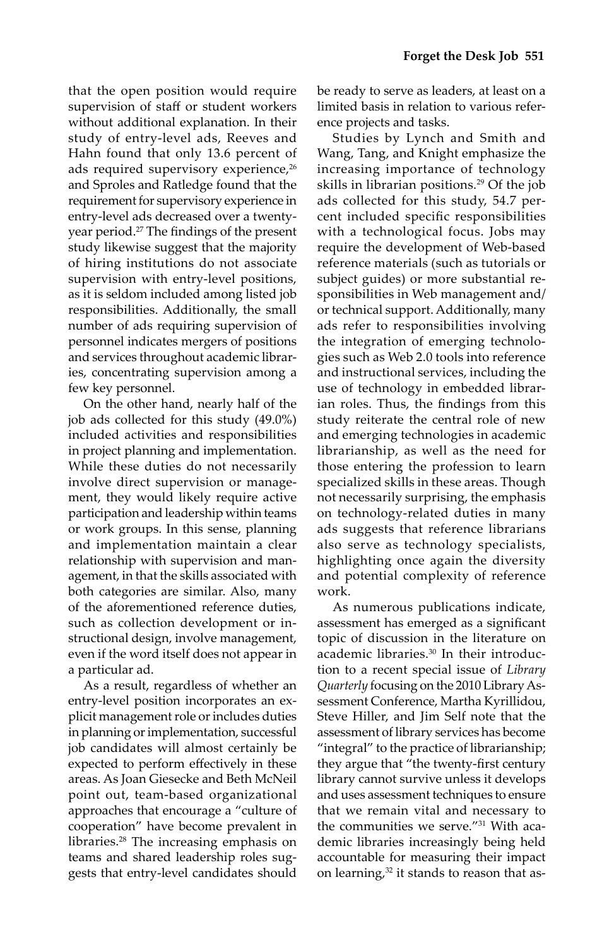that the open position would require supervision of staff or student workers without additional explanation. In their study of entry-level ads, Reeves and Hahn found that only 13.6 percent of ads required supervisory experience,<sup>26</sup> and Sproles and Ratledge found that the requirement for supervisory experience in entry-level ads decreased over a twentyyear period.<sup>27</sup> The findings of the present study likewise suggest that the majority of hiring institutions do not associate supervision with entry-level positions, as it is seldom included among listed job responsibilities. Additionally, the small number of ads requiring supervision of personnel indicates mergers of positions and services throughout academic libraries, concentrating supervision among a few key personnel.

On the other hand, nearly half of the job ads collected for this study (49.0%) included activities and responsibilities in project planning and implementation. While these duties do not necessarily involve direct supervision or management, they would likely require active participation and leadership within teams or work groups. In this sense, planning and implementation maintain a clear relationship with supervision and management, in that the skills associated with both categories are similar. Also, many of the aforementioned reference duties, such as collection development or instructional design, involve management, even if the word itself does not appear in a particular ad.

As a result, regardless of whether an entry-level position incorporates an explicit management role or includes duties in planning or implementation, successful job candidates will almost certainly be expected to perform effectively in these areas. As Joan Giesecke and Beth McNeil point out, team-based organizational approaches that encourage a "culture of cooperation" have become prevalent in libraries.28 The increasing emphasis on teams and shared leadership roles suggests that entry-level candidates should be ready to serve as leaders, at least on a limited basis in relation to various reference projects and tasks.

Studies by Lynch and Smith and Wang, Tang, and Knight emphasize the increasing importance of technology skills in librarian positions.<sup>29</sup> Of the job ads collected for this study, 54.7 percent included specific responsibilities with a technological focus. Jobs may require the development of Web-based reference materials (such as tutorials or subject guides) or more substantial responsibilities in Web management and/ or technical support. Additionally, many ads refer to responsibilities involving the integration of emerging technologies such as Web 2.0 tools into reference and instructional services, including the use of technology in embedded librarian roles. Thus, the findings from this study reiterate the central role of new and emerging technologies in academic librarianship, as well as the need for those entering the profession to learn specialized skills in these areas. Though not necessarily surprising, the emphasis on technology-related duties in many ads suggests that reference librarians also serve as technology specialists, highlighting once again the diversity and potential complexity of reference work.

As numerous publications indicate, assessment has emerged as a significant topic of discussion in the literature on academic libraries.30 In their introduction to a recent special issue of *Library Quarterly* focusing on the 2010 Library Assessment Conference, Martha Kyrillidou, Steve Hiller, and Jim Self note that the assessment of library services has become "integral" to the practice of librarianship; they argue that "the twenty-first century library cannot survive unless it develops and uses assessment techniques to ensure that we remain vital and necessary to the communities we serve."31 With academic libraries increasingly being held accountable for measuring their impact on learning,<sup>32</sup> it stands to reason that as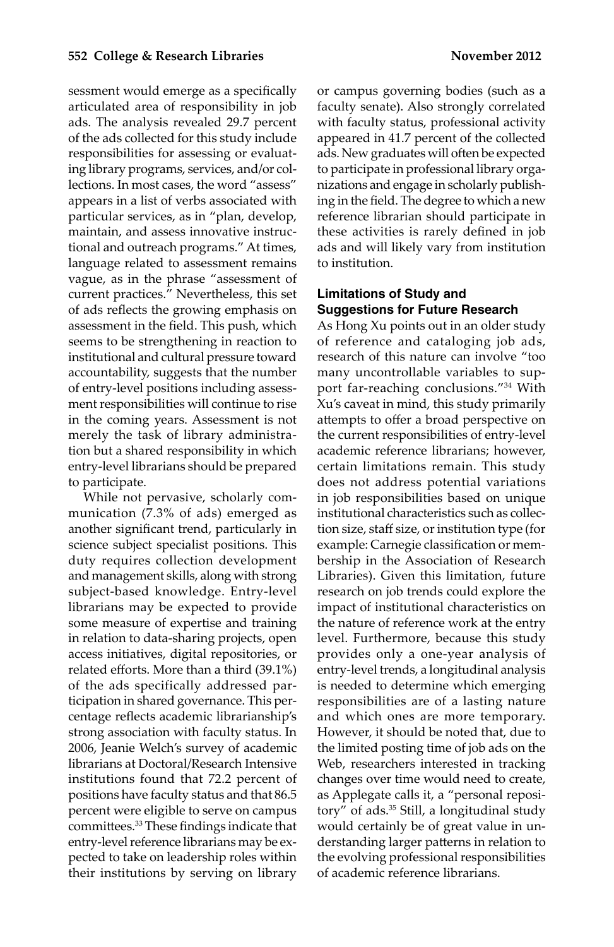sessment would emerge as a specifically articulated area of responsibility in job ads. The analysis revealed 29.7 percent of the ads collected for this study include responsibilities for assessing or evaluating library programs, services, and/or collections. In most cases, the word "assess" appears in a list of verbs associated with particular services, as in "plan, develop, maintain, and assess innovative instructional and outreach programs." At times, language related to assessment remains vague, as in the phrase "assessment of current practices." Nevertheless, this set of ads reflects the growing emphasis on assessment in the field. This push, which seems to be strengthening in reaction to institutional and cultural pressure toward accountability, suggests that the number of entry-level positions including assessment responsibilities will continue to rise in the coming years. Assessment is not merely the task of library administration but a shared responsibility in which entry-level librarians should be prepared to participate.

While not pervasive, scholarly communication (7.3% of ads) emerged as another significant trend, particularly in science subject specialist positions. This duty requires collection development and management skills, along with strong subject-based knowledge. Entry-level librarians may be expected to provide some measure of expertise and training in relation to data-sharing projects, open access initiatives, digital repositories, or related efforts. More than a third (39.1%) of the ads specifically addressed participation in shared governance. This percentage reflects academic librarianship's strong association with faculty status. In 2006, Jeanie Welch's survey of academic librarians at Doctoral/Research Intensive institutions found that 72.2 percent of positions have faculty status and that 86.5 percent were eligible to serve on campus committees.<sup>33</sup> These findings indicate that entry-level reference librarians may be expected to take on leadership roles within their institutions by serving on library

or campus governing bodies (such as a faculty senate). Also strongly correlated with faculty status, professional activity appeared in 41.7 percent of the collected ads. New graduates will often be expected to participate in professional library organizations and engage in scholarly publishing in the field. The degree to which a new reference librarian should participate in these activities is rarely defined in job ads and will likely vary from institution to institution.

### **Limitations of Study and Suggestions for Future Research**

As Hong Xu points out in an older study of reference and cataloging job ads, research of this nature can involve "too many uncontrollable variables to support far-reaching conclusions."34 With Xu's caveat in mind, this study primarily attempts to offer a broad perspective on the current responsibilities of entry-level academic reference librarians; however, certain limitations remain. This study does not address potential variations in job responsibilities based on unique institutional characteristics such as collection size, staff size, or institution type (for example: Carnegie classification or membership in the Association of Research Libraries). Given this limitation, future research on job trends could explore the impact of institutional characteristics on the nature of reference work at the entry level. Furthermore, because this study provides only a one-year analysis of entry-level trends, a longitudinal analysis is needed to determine which emerging responsibilities are of a lasting nature and which ones are more temporary. However, it should be noted that, due to the limited posting time of job ads on the Web, researchers interested in tracking changes over time would need to create, as Applegate calls it, a "personal repository" of ads.35 Still, a longitudinal study would certainly be of great value in understanding larger patterns in relation to the evolving professional responsibilities of academic reference librarians.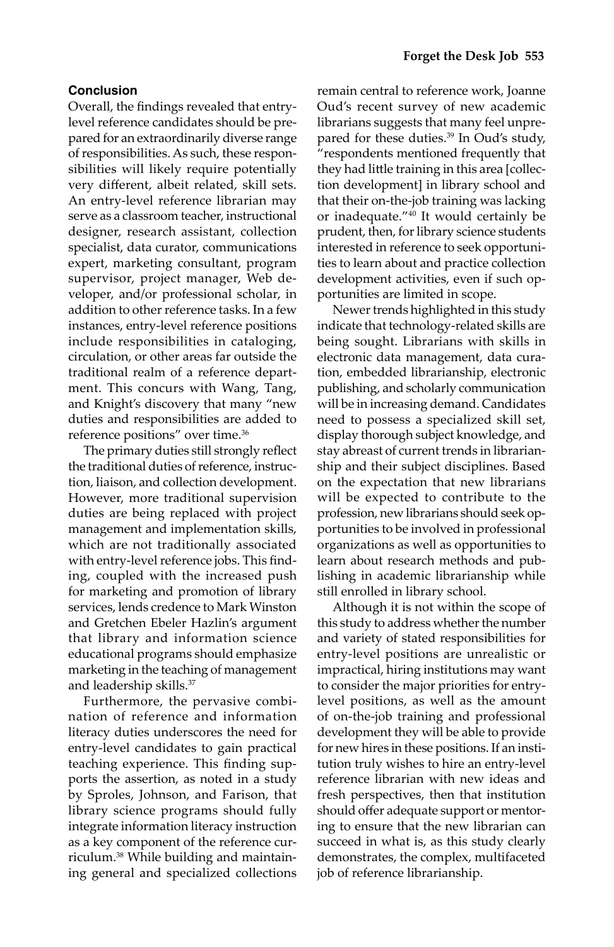### **Conclusion**

Overall, the findings revealed that entrylevel reference candidates should be prepared for an extraordinarily diverse range of responsibilities. As such, these responsibilities will likely require potentially very different, albeit related, skill sets. An entry-level reference librarian may serve as a classroom teacher, instructional designer, research assistant, collection specialist, data curator, communications expert, marketing consultant, program supervisor, project manager, Web developer, and/or professional scholar, in addition to other reference tasks. In a few instances, entry-level reference positions include responsibilities in cataloging, circulation, or other areas far outside the traditional realm of a reference department. This concurs with Wang, Tang, and Knight's discovery that many "new duties and responsibilities are added to reference positions" over time.36

The primary duties still strongly reflect the traditional duties of reference, instruction, liaison, and collection development. However, more traditional supervision duties are being replaced with project management and implementation skills, which are not traditionally associated with entry-level reference jobs. This finding, coupled with the increased push for marketing and promotion of library services, lends credence to Mark Winston and Gretchen Ebeler Hazlin's argument that library and information science educational programs should emphasize marketing in the teaching of management and leadership skills.37

Furthermore, the pervasive combination of reference and information literacy duties underscores the need for entry-level candidates to gain practical teaching experience. This finding supports the assertion, as noted in a study by Sproles, Johnson, and Farison, that library science programs should fully integrate information literacy instruction as a key component of the reference curriculum.38 While building and maintaining general and specialized collections

remain central to reference work, Joanne Oud's recent survey of new academic librarians suggests that many feel unprepared for these duties.<sup>39</sup> In Oud's study, "respondents mentioned frequently that they had little training in this area [collection development] in library school and that their on-the-job training was lacking or inadequate."40 It would certainly be prudent, then, for library science students interested in reference to seek opportunities to learn about and practice collection development activities, even if such opportunities are limited in scope.

Newer trends highlighted in this study indicate that technology-related skills are being sought. Librarians with skills in electronic data management, data curation, embedded librarianship, electronic publishing, and scholarly communication will be in increasing demand. Candidates need to possess a specialized skill set, display thorough subject knowledge, and stay abreast of current trends in librarianship and their subject disciplines. Based on the expectation that new librarians will be expected to contribute to the profession, new librarians should seek opportunities to be involved in professional organizations as well as opportunities to learn about research methods and publishing in academic librarianship while still enrolled in library school.

Although it is not within the scope of this study to address whether the number and variety of stated responsibilities for entry-level positions are unrealistic or impractical, hiring institutions may want to consider the major priorities for entrylevel positions, as well as the amount of on-the-job training and professional development they will be able to provide for new hires in these positions. If an institution truly wishes to hire an entry-level reference librarian with new ideas and fresh perspectives, then that institution should offer adequate support or mentoring to ensure that the new librarian can succeed in what is, as this study clearly demonstrates, the complex, multifaceted job of reference librarianship.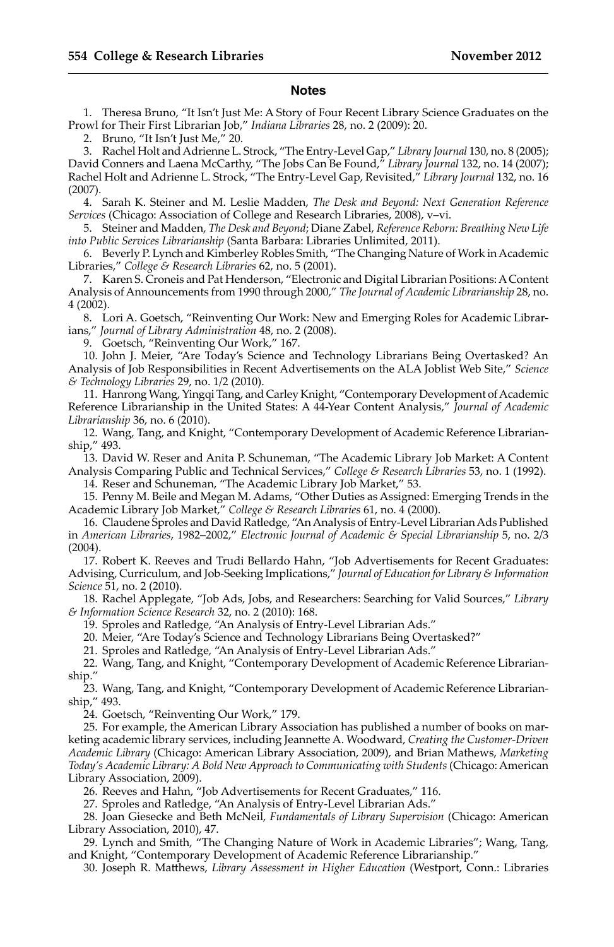#### **Notes**

1. Theresa Bruno, "It Isn't Just Me: A Story of Four Recent Library Science Graduates on the Prowl for Their First Librarian Job," *Indiana Libraries* 28, no. 2 (2009): 20.

2. Bruno, "It Isn't Just Me," 20.

3. Rachel Holt and Adrienne L. Strock, "The Entry-Level Gap," *Library Journal* 130, no. 8 (2005); David Conners and Laena McCarthy, "The Jobs Can Be Found," *Library Journal* 132, no. 14 (2007); Rachel Holt and Adrienne L. Strock, "The Entry-Level Gap, Revisited," *Library Journal* 132, no. 16 (2007).

4. Sarah K. Steiner and M. Leslie Madden, *The Desk and Beyond: Next Generation Reference Services* (Chicago: Association of College and Research Libraries, 2008), v–vi.

5. Steiner and Madden, *The Desk and Beyond*; Diane Zabel, *Reference Reborn: Breathing New Life into Public Services Librarianship* (Santa Barbara: Libraries Unlimited, 2011).

6. Beverly P. Lynch and Kimberley Robles Smith, "The Changing Nature of Work in Academic Libraries," *College & Research Libraries* 62, no. 5 (2001).

7. Karen S. Croneis and Pat Henderson, "Electronic and Digital Librarian Positions: A Content Analysis of Announcements from 1990 through 2000," *The Journal of Academic Librarianship* 28, no. 4 (2002).

8. Lori A. Goetsch, "Reinventing Our Work: New and Emerging Roles for Academic Librarians," *Journal of Library Administration* 48, no. 2 (2008).

9. Goetsch, "Reinventing Our Work," 167.

10. John J. Meier, "Are Today's Science and Technology Librarians Being Overtasked? An Analysis of Job Responsibilities in Recent Advertisements on the ALA Joblist Web Site," *Science & Technology Libraries* 29, no. 1/2 (2010).

11. Hanrong Wang, Yingqi Tang, and Carley Knight, "Contemporary Development of Academic Reference Librarianship in the United States: A 44-Year Content Analysis," *Journal of Academic Librarianship* 36, no. 6 (2010).

12. Wang, Tang, and Knight, "Contemporary Development of Academic Reference Librarianship," 493.

13. David W. Reser and Anita P. Schuneman, "The Academic Library Job Market: A Content Analysis Comparing Public and Technical Services," *College & Research Libraries* 53, no. 1 (1992).

14. Reser and Schuneman, "The Academic Library Job Market," 53.

15. Penny M. Beile and Megan M. Adams, "Other Duties as Assigned: Emerging Trends in the Academic Library Job Market," *College & Research Libraries* 61, no. 4 (2000).

16. Claudene Sproles and David Ratledge, "An Analysis of Entry-Level Librarian Ads Published in *American Libraries*, 1982–2002," *Electronic Journal of Academic & Special Librarianship* 5, no. 2/3 (2004).

17. Robert K. Reeves and Trudi Bellardo Hahn, "Job Advertisements for Recent Graduates: Advising, Curriculum, and Job-Seeking Implications," *Journal of Education for Library & Information Science* 51, no. 2 (2010).

18. Rachel Applegate, "Job Ads, Jobs, and Researchers: Searching for Valid Sources," *Library & Information Science Research* 32, no. 2 (2010): 168.

19. Sproles and Ratledge, "An Analysis of Entry-Level Librarian Ads."

20. Meier, "Are Today's Science and Technology Librarians Being Overtasked?"

21. Sproles and Ratledge, "An Analysis of Entry-Level Librarian Ads."

22. Wang, Tang, and Knight, "Contemporary Development of Academic Reference Librarianship."

23. Wang, Tang, and Knight, "Contemporary Development of Academic Reference Librarianship," 493.

24. Goetsch, "Reinventing Our Work," 179.

25. For example, the American Library Association has published a number of books on marketing academic library services, including Jeannette A. Woodward, *Creating the Customer-Driven Academic Library* (Chicago: American Library Association, 2009), and Brian Mathews, *Marketing Today's Academic Library: A Bold New Approach to Communicating with Students* (Chicago: American Library Association, 2009).

26. Reeves and Hahn, "Job Advertisements for Recent Graduates," 116.

27. Sproles and Ratledge, "An Analysis of Entry-Level Librarian Ads."

28. Joan Giesecke and Beth McNeil, *Fundamentals of Library Supervision* (Chicago: American Library Association, 2010), 47.

29. Lynch and Smith, "The Changing Nature of Work in Academic Libraries"; Wang, Tang, and Knight, "Contemporary Development of Academic Reference Librarianship."

30. Joseph R. Matthews, *Library Assessment in Higher Education* (Westport, Conn.: Libraries